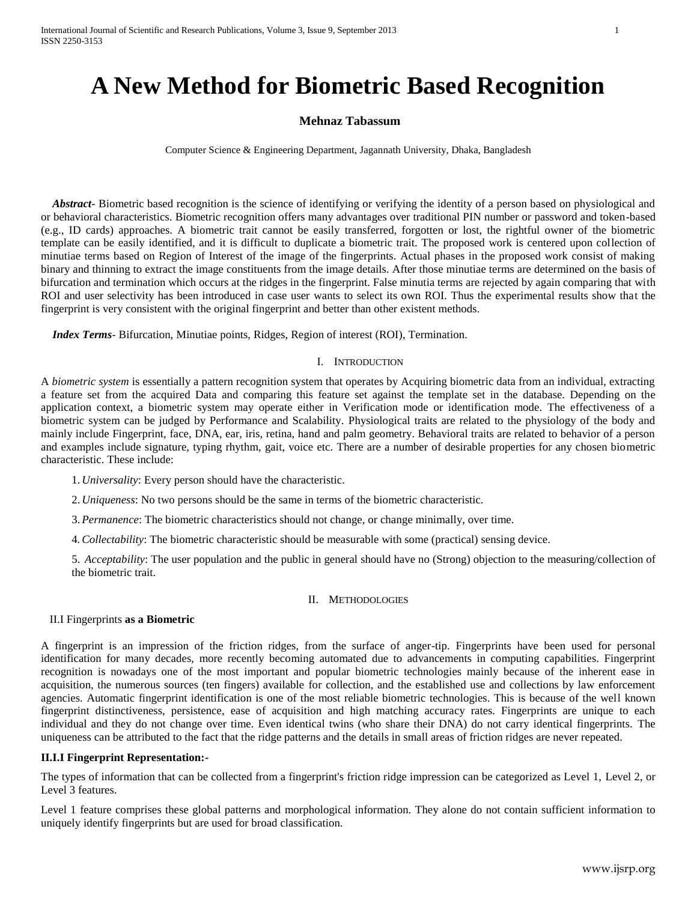# **A New Method for Biometric Based Recognition**

## **Mehnaz Tabassum**

Computer Science & Engineering Department, Jagannath University, Dhaka, Bangladesh

*Abstract* Biometric based recognition is the science of identifying or verifying the identity of a person based on physiological and or behavioral characteristics. Biometric recognition offers many advantages over traditional PIN number or password and token-based (e.g., ID cards) approaches. A biometric trait cannot be easily transferred, forgotten or lost, the rightful owner of the biometric template can be easily identified, and it is difficult to duplicate a biometric trait. The proposed work is centered upon collection of minutiae terms based on Region of Interest of the image of the fingerprints. Actual phases in the proposed work consist of making binary and thinning to extract the image constituents from the image details. After those minutiae terms are determined on the basis of bifurcation and termination which occurs at the ridges in the fingerprint. False minutia terms are rejected by again comparing that with ROI and user selectivity has been introduced in case user wants to select its own ROI. Thus the experimental results show that the fingerprint is very consistent with the original fingerprint and better than other existent methods.

 *Index Terms*- Bifurcation, Minutiae points, Ridges, Region of interest (ROI), Termination.

#### I. INTRODUCTION

A *biometric system* is essentially a pattern recognition system that operates by Acquiring biometric data from an individual, extracting a feature set from the acquired Data and comparing this feature set against the template set in the database. Depending on the application context, a biometric system may operate either in Verification mode or identification mode. The effectiveness of a biometric system can be judged by Performance and Scalability*.* Physiological traits are related to the physiology of the body and mainly include Fingerprint, face, DNA, ear, iris, retina, hand and palm geometry. Behavioral traits are related to behavior of a person and examples include signature, typing rhythm, gait, voice etc. There are a number of desirable properties for any chosen biometric characteristic. These include:

1. *Universality*: Every person should have the characteristic.

2. *Uniqueness*: No two persons should be the same in terms of the biometric characteristic.

3.*Permanence*: The biometric characteristics should not change, or change minimally, over time.

4*.Collectability*: The biometric characteristic should be measurable with some (practical) sensing device.

5. *Acceptability*: The user population and the public in general should have no (Strong) objection to the measuring/collection of the biometric trait.

# II. METHODOLOGIES

### II.I Fingerprints **as a Biometric**

A fingerprint is an impression of the friction ridges, from the surface of anger-tip. Fingerprints have been used for personal identification for many decades, more recently becoming automated due to advancements in computing capabilities. Fingerprint recognition is nowadays one of the most important and popular biometric technologies mainly because of the inherent ease in acquisition, the numerous sources (ten fingers) available for collection, and the established use and collections by law enforcement agencies. Automatic fingerprint identification is one of the most reliable biometric technologies. This is because of the well known fingerprint distinctiveness, persistence, ease of acquisition and high matching accuracy rates. Fingerprints are unique to each individual and they do not change over time. Even identical twins (who share their DNA) do not carry identical fingerprints. The uniqueness can be attributed to the fact that the ridge patterns and the details in small areas of friction ridges are never repeated.

# **II.I.I Fingerprint Representation:-**

The types of information that can be collected from a fingerprint's friction ridge impression can be categorized as Level 1, Level 2, or Level 3 features.

Level 1 feature comprises these global patterns and morphological information. They alone do not contain sufficient information to uniquely identify fingerprints but are used for broad classification.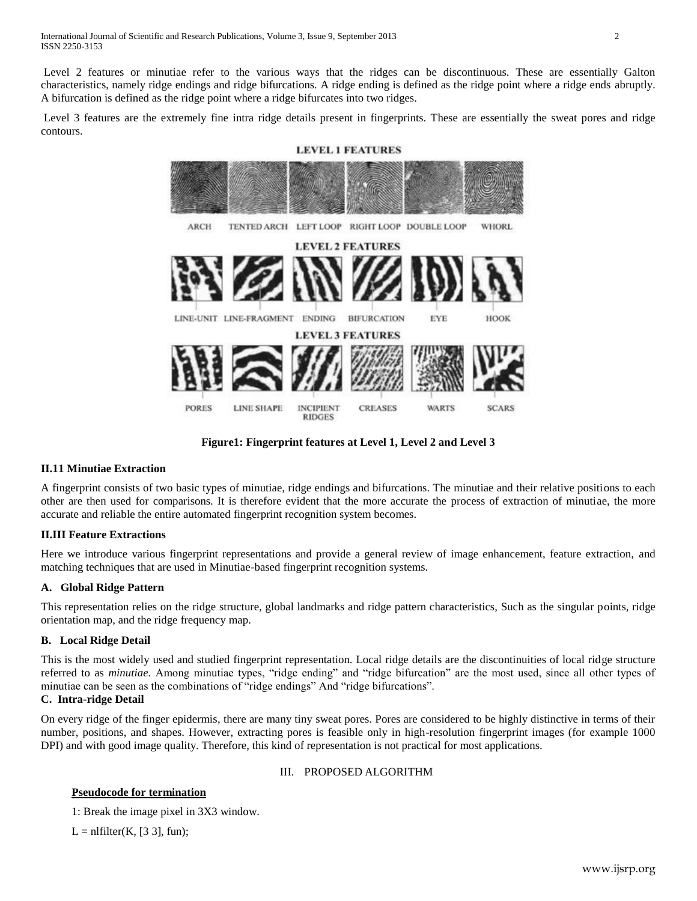Level 2 features or minutiae refer to the various ways that the ridges can be discontinuous. These are essentially Galton characteristics, namely ridge endings and ridge bifurcations. A ridge ending is defined as the ridge point where a ridge ends abruptly. A bifurcation is defined as the ridge point where a ridge bifurcates into two ridges.

Level 3 features are the extremely fine intra ridge details present in fingerprints. These are essentially the sweat pores and ridge contours.



**Figure1: Fingerprint features at Level 1, Level 2 and Level 3**

## **II.11 Minutiae Extraction**

A fingerprint consists of two basic types of minutiae, ridge endings and bifurcations. The minutiae and their relative positions to each other are then used for comparisons. It is therefore evident that the more accurate the process of extraction of minutiae, the more accurate and reliable the entire automated fingerprint recognition system becomes.

## **II.III Feature Extractions**

Here we introduce various fingerprint representations and provide a general review of image enhancement, feature extraction, and matching techniques that are used in Minutiae-based fingerprint recognition systems.

## **A. Global Ridge Pattern**

This representation relies on the ridge structure, global landmarks and ridge pattern characteristics, Such as the singular points, ridge orientation map, and the ridge frequency map.

#### **B. Local Ridge Detail**

This is the most widely used and studied fingerprint representation. Local ridge details are the discontinuities of local ridge structure referred to as *minutiae.* Among minutiae types, "ridge ending" and "ridge bifurcation" are the most used, since all other types of minutiae can be seen as the combinations of "ridge endings" And "ridge bifurcations".

# **C. Intra-ridge Detail**

On every ridge of the finger epidermis, there are many tiny sweat pores. Pores are considered to be highly distinctive in terms of their number, positions, and shapes. However, extracting pores is feasible only in high-resolution fingerprint images (for example 1000 DPI) and with good image quality. Therefore, this kind of representation is not practical for most applications.

## III. PROPOSED ALGORITHM

## **Pseudocode for termination**

1: Break the image pixel in 3X3 window.

 $L = nIf  $(K, [3, 3], fm)$ ;$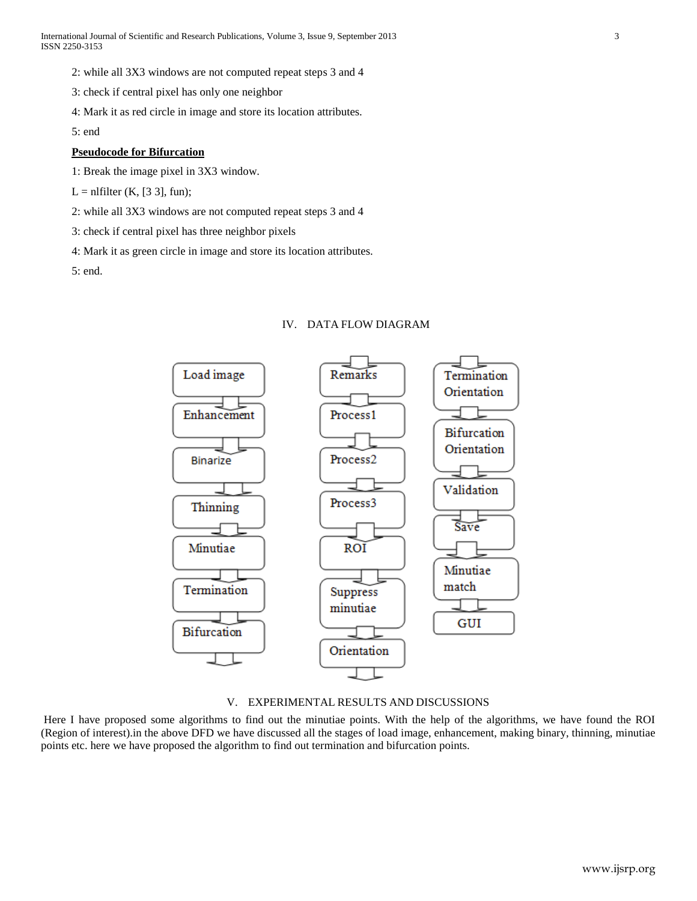2: while all 3X3 windows are not computed repeat steps 3 and 4

3: check if central pixel has only one neighbor

4: Mark it as red circle in image and store its location attributes.

5: end

## **Pseudocode for Bifurcation**

1: Break the image pixel in 3X3 window.

 $L = n$ filter (K, [3 3], fun);

2: while all 3X3 windows are not computed repeat steps 3 and 4

3: check if central pixel has three neighbor pixels

4: Mark it as green circle in image and store its location attributes.

5: end.

## IV. DATA FLOW DIAGRAM



### V. EXPERIMENTAL RESULTS AND DISCUSSIONS

Here I have proposed some algorithms to find out the minutiae points. With the help of the algorithms, we have found the ROI (Region of interest).in the above DFD we have discussed all the stages of load image, enhancement, making binary, thinning, minutiae points etc. here we have proposed the algorithm to find out termination and bifurcation points.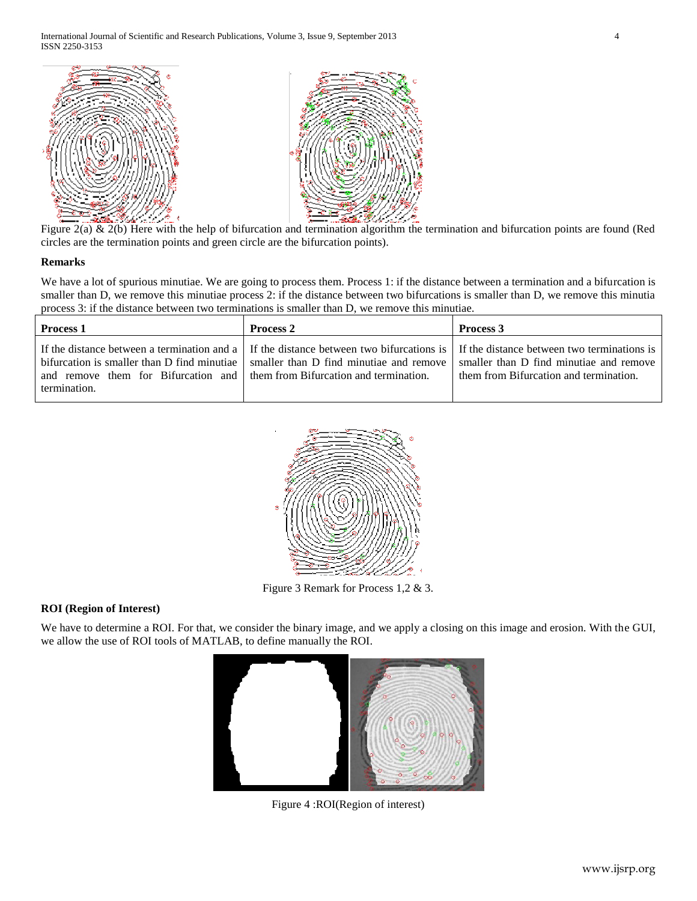

Figure  $2(a)$  &  $2(b)$  Here with the help of bifurcation and termination algorithm the termination and bifurcation points are found (Red circles are the termination points and green circle are the bifurcation points).

## **Remarks**

We have a lot of spurious minutiae. We are going to process them. Process 1: if the distance between a termination and a bifurcation is smaller than D, we remove this minutiae process 2: if the distance between two bifurcations is smaller than D, we remove this minutia process 3: if the distance between two terminations is smaller than D, we remove this minutiae.

| <b>Process 1</b>                                                                           | <b>Process 2</b>                                                                                                                                                                                                                                                                               | <b>Process 3</b>                       |
|--------------------------------------------------------------------------------------------|------------------------------------------------------------------------------------------------------------------------------------------------------------------------------------------------------------------------------------------------------------------------------------------------|----------------------------------------|
| and remove them for Bifurcation and them from Bifurcation and termination.<br>termination. | If the distance between a termination and a $\parallel$ If the distance between two bifurcations is $\parallel$ If the distance between two terminations is<br>bifurcation is smaller than D find minutiae   smaller than D find minutiae and remove   smaller than D find minutiae and remove | them from Bifurcation and termination. |



Figure 3 Remark for Process 1,2 & 3.

## **ROI (Region of Interest)**

We have to determine a ROI. For that, we consider the binary image, and we apply a closing on this image and erosion. With the GUI, we allow the use of ROI tools of MATLAB, to define manually the ROI.



Figure 4 :ROI(Region of interest)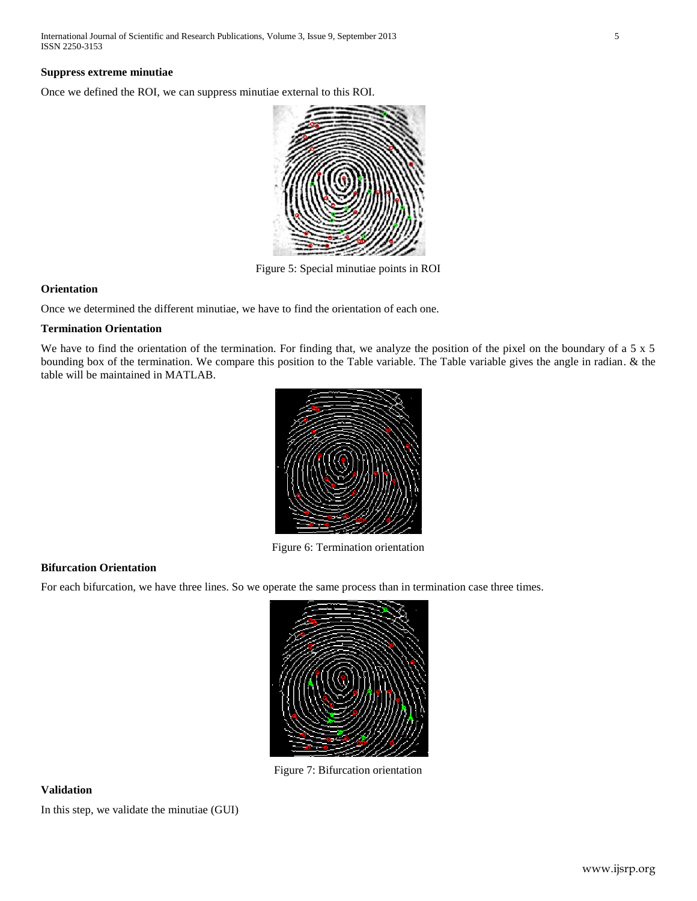#### **Suppress extreme minutiae**

Once we defined the ROI, we can suppress minutiae external to this ROI.



Figure 5: Special minutiae points in ROI

### **Orientation**

Once we determined the different minutiae, we have to find the orientation of each one.

#### **Termination Orientation**

We have to find the orientation of the termination. For finding that, we analyze the position of the pixel on the boundary of a 5 x 5 bounding box of the termination. We compare this position to the Table variable. The Table variable gives the angle in radian. & the table will be maintained in MATLAB.



Figure 6: Termination orientation

## **Bifurcation Orientation**

For each bifurcation, we have three lines. So we operate the same process than in termination case three times.



Figure 7: Bifurcation orientation

#### **Validation**

In this step, we validate the minutiae (GUI)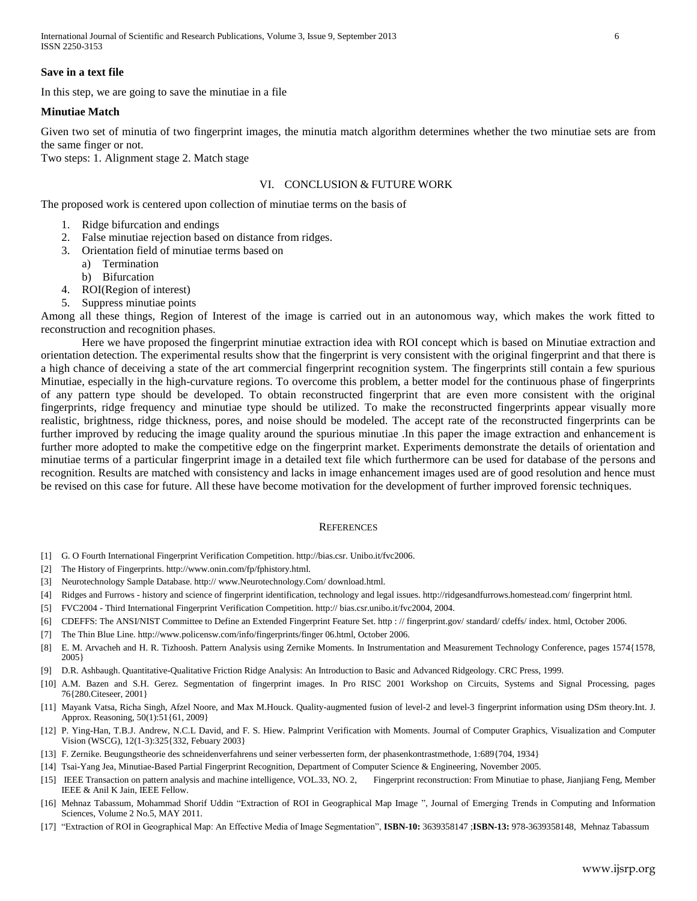#### **Save in a text file**

In this step, we are going to save the minutiae in a file

#### **Minutiae Match**

Given two set of minutia of two fingerprint images, the minutia match algorithm determines whether the two minutiae sets are from the same finger or not.

Two steps: 1. Alignment stage 2. Match stage

#### VI. CONCLUSION & FUTURE WORK

The proposed work is centered upon collection of minutiae terms on the basis of

- 1. Ridge bifurcation and endings
- 2. False minutiae rejection based on distance from ridges.
- 3. Orientation field of minutiae terms based on
	- a) Termination
	- b) Bifurcation
- 4. ROI(Region of interest)
- 5. Suppress minutiae points

Among all these things, Region of Interest of the image is carried out in an autonomous way, which makes the work fitted to reconstruction and recognition phases.

Here we have proposed the fingerprint minutiae extraction idea with ROI concept which is based on Minutiae extraction and orientation detection. The experimental results show that the fingerprint is very consistent with the original fingerprint and that there is a high chance of deceiving a state of the art commercial fingerprint recognition system. The fingerprints still contain a few spurious Minutiae, especially in the high-curvature regions. To overcome this problem, a better model for the continuous phase of fingerprints of any pattern type should be developed. To obtain reconstructed fingerprint that are even more consistent with the original fingerprints, ridge frequency and minutiae type should be utilized. To make the reconstructed fingerprints appear visually more realistic, brightness, ridge thickness, pores, and noise should be modeled. The accept rate of the reconstructed fingerprints can be further improved by reducing the image quality around the spurious minutiae .In this paper the image extraction and enhancement is further more adopted to make the competitive edge on the fingerprint market. Experiments demonstrate the details of orientation and minutiae terms of a particular fingerprint image in a detailed text file which furthermore can be used for database of the persons and recognition. Results are matched with consistency and lacks in image enhancement images used are of good resolution and hence must be revised on this case for future. All these have become motivation for the development of further improved forensic techniques.

#### **REFERENCES**

- [1] G. O Fourth International Fingerprint Verification Competition. http://bias.csr. Unibo.it/fvc2006.
- [2] The History of Fingerprints. http://www.onin.com/fp/fphistory.html.
- [3] Neurotechnology Sample Database. http:// www.Neurotechnology.Com/ download.html.
- [4] Ridges and Furrows history and science of fingerprint identification, technology and legal issues. http://ridgesandfurrows.homestead.com/ fingerprint html.
- [5] FVC2004 Third International Fingerprint Verification Competition. http:// bias.csr.unibo.it/fvc2004, 2004.
- [6] CDEFFS: The ANSI/NIST Committee to Define an Extended Fingerprint Feature Set. http : // fingerprint.gov/ standard/ cdeffs/ index. html, October 2006.
- [7] The Thin Blue Line. http://www.policensw.com/info/fingerprints/finger 06.html, October 2006.
- [8] E. M. Arvacheh and H. R. Tizhoosh. Pattern Analysis using Zernike Moments. In Instrumentation and Measurement Technology Conference, pages 1574{1578, 2005}
- [9] D.R. Ashbaugh. Quantitative-Qualitative Friction Ridge Analysis: An Introduction to Basic and Advanced Ridgeology. CRC Press, 1999.
- [10] A.M. Bazen and S.H. Gerez. Segmentation of fingerprint images. In Pro RISC 2001 Workshop on Circuits, Systems and Signal Processing, pages 76{280.Citeseer, 2001}
- [11] Mayank Vatsa, Richa Singh, Afzel Noore, and Max M.Houck. Quality-augmented fusion of level-2 and level-3 fingerprint information using DSm theory.Int. J. Approx. Reasoning, 50(1):51{61, 2009}
- [12] P. Ying-Han, T.B.J. Andrew, N.C.L David, and F. S. Hiew. Palmprint Verification with Moments. Journal of Computer Graphics, Visualization and Computer Vision (WSCG), 12(1-3):325{332, Febuary 2003}
- [13] F. Zernike. Beugungstheorie des schneidenverfahrens und seiner verbesserten form, der phasenkontrastmethode, 1:689{704, 1934}
- [14] Tsai-Yang Jea, Minutiae-Based Partial Fingerprint Recognition, Department of Computer Science & Engineering, November 2005.
- [15] IEEE Transaction on pattern analysis and machine intelligence, VOL.33, NO. 2, Fingerprint reconstruction: From Minutiae to phase, Jianjiang Feng, Member IEEE & Anil K Jain, IEEE Fellow.
- [16] Mehnaz Tabassum, Mohammad Shorif Uddin "Extraction of ROI in Geographical Map Image ", Journal of Emerging Trends in Computing and Information Sciences, Volume 2 No.5, MAY 2011.
- [17] "Extraction of ROI in Geographical Map: An Effective Media of Image Segmentation", **ISBN-10:** 3639358147 ;**ISBN-13:** 978-3639358148, Mehnaz Tabassum